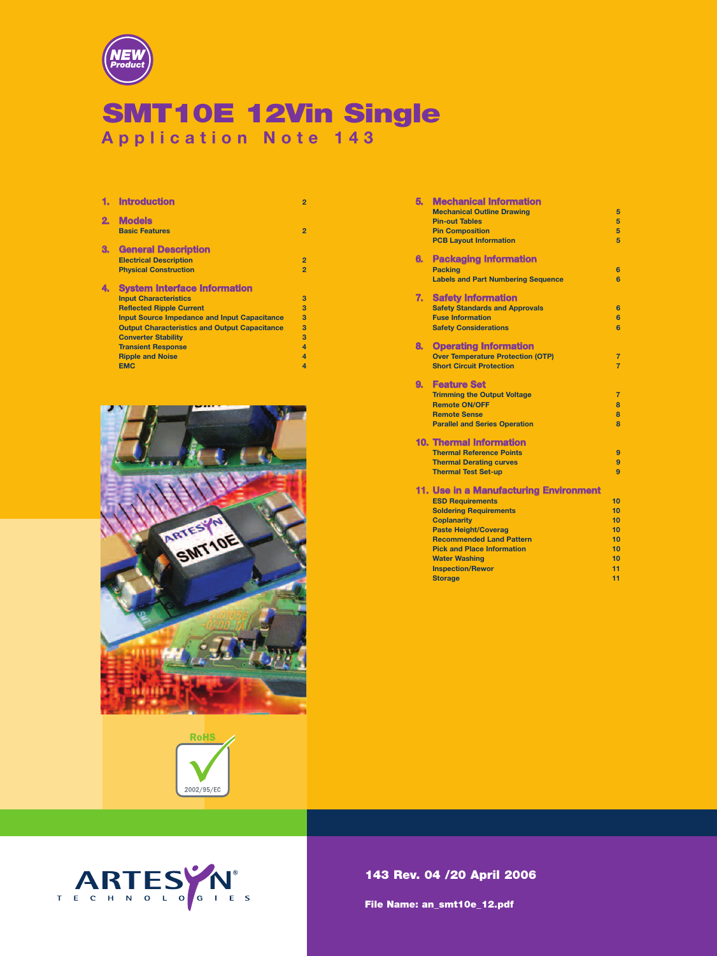

# **SMT10E 12Vin Single Application Note 143**

|    | <b>Introduction</b>                                  | $\overline{2}$          |
|----|------------------------------------------------------|-------------------------|
| 2. | <b>Models</b><br><b>Basic Features</b>               | $\overline{2}$          |
| З. | <b>General Description</b>                           |                         |
|    | <b>Electrical Description</b>                        | $\overline{2}$          |
|    | <b>Physical Construction</b>                         | $\overline{2}$          |
| 4. | <b>System Interface Information</b>                  |                         |
|    | <b>Input Characteristics</b>                         | 3                       |
|    | <b>Reflected Ripple Current</b>                      | 3                       |
|    | <b>Input Source Impedance and Input Capacitance</b>  | 3                       |
|    | <b>Output Characteristics and Output Capacitance</b> | 3                       |
|    | <b>Converter Stability</b>                           | 3                       |
|    | <b>Transient Response</b>                            | $\overline{4}$          |
|    | <b>Ripple and Noise</b>                              | $\overline{\mathbf{A}}$ |
|    | <b>EMC</b>                                           | 4                       |





| 5. | <b>Mechanical Information</b>             |                |
|----|-------------------------------------------|----------------|
|    | <b>Mechanical Outline Drawing</b>         | 5              |
|    | <b>Pin-out Tables</b>                     | 5              |
|    | <b>Pin Composition</b>                    | 5              |
|    | <b>PCB Layout Information</b>             | 5              |
|    |                                           |                |
| 6. | <b>Packaging Information</b>              |                |
|    | <b>Packing</b>                            | 6              |
|    | <b>Labels and Part Numbering Sequence</b> | 6              |
| 7. | <b>Safety Information</b>                 |                |
|    | <b>Safety Standards and Approvals</b>     | 6              |
|    | <b>Fuse Information</b>                   | 6              |
|    | <b>Safety Considerations</b>              | 6              |
|    |                                           |                |
| 8. | <b>Operating Information</b>              |                |
|    | <b>Over Temperature Protection (OTP)</b>  | $\overline{7}$ |
|    | <b>Short Circuit Protection</b>           | 7              |
| 9. | <b>Feature Set</b>                        |                |
|    | <b>Trimming the Output Voltage</b>        | $\overline{7}$ |
|    | <b>Remote ON/OFF</b>                      | $\mathbf{a}$   |
|    | <b>Remote Sense</b>                       | 8              |
|    | <b>Parallel and Series Operation</b>      | $\mathbf{R}$   |
|    |                                           |                |
|    | <b>10. Thermal Information</b>            |                |
|    | <b>Thermal Reference Points</b>           | 9              |
|    | <b>Thermal Derating curves</b>            | 9              |
|    | <b>Thermal Test Set-up</b>                | $\overline{9}$ |
|    | 11. Use in a Manufacturing Environment    |                |
|    | <b>ESD Requirements</b>                   | 10             |
|    | <b>Soldering Requirements</b>             | 10             |
|    | <b>Coplanarity</b>                        | 10             |
|    | <b>Paste Height/Coverag</b>               | 10             |
|    | <b>Recommended Land Pattern</b>           | 10             |
|    | <b>Pick and Place Information</b>         | 10             |
|    | <b>Water Washing</b>                      | 10             |
|    | <b>Inspection/Rewor</b>                   | 11             |
|    | <b>Storage</b>                            | 11             |
|    |                                           |                |



**File Name: an\_smt10e\_12.pdf**

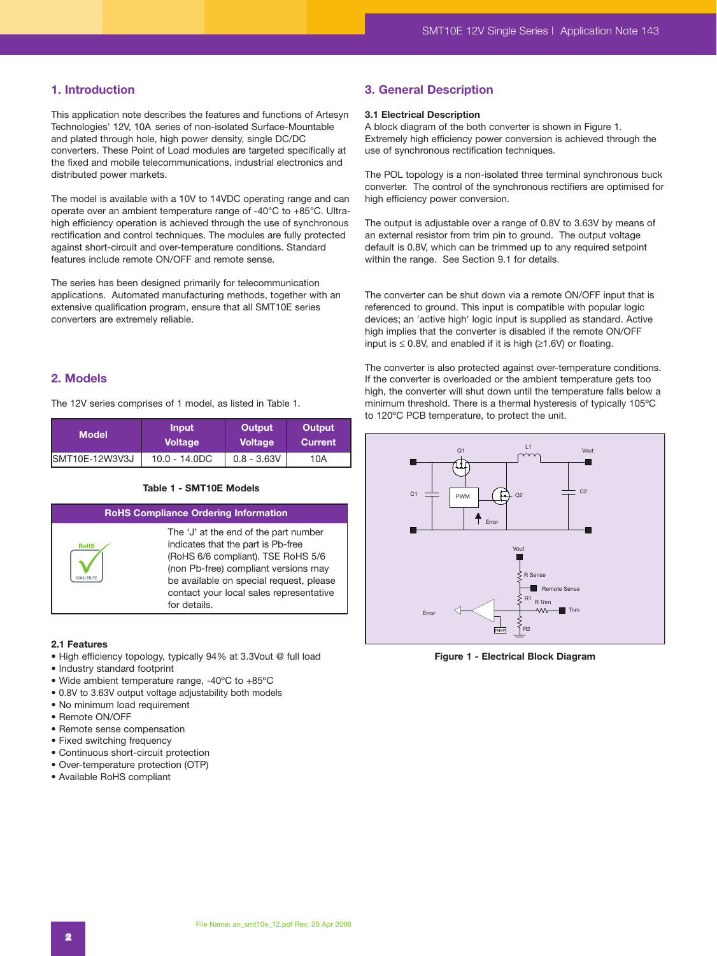### **1. Introduction**

This application note describes the features and functions of Artesyn Technologies' 12V, 10A series of non-isolated Surface-Mountable and plated through hole, high power density, single DC/DC converters. These Point of Load modules are targeted specifically at the fixed and mobile telecommunications, industrial electronics and distributed power markets.

The model is available with a 10V to 14VDC operating range and can operate over an ambient temperature range of -40°C to +85°C. Ultrahigh efficiency operation is achieved through the use of synchronous rectification and control techniques. The modules are fully protected against short-circuit and over-temperature conditions. Standard features include remote ON/OFF and remote sense.

The series has been designed primarily for telecommunication applications. Automated manufacturing methods, together with an extensive qualification program, ensure that all SMT10E series converters are extremely reliable.

# **2. Models**

The 12V series comprises of 1 model, as listed in Table 1.

| <b>Model</b>           | <b>Input</b>    | Output         | Output  |
|------------------------|-----------------|----------------|---------|
|                        | <b>Voltage</b>  | <b>Voltage</b> | Current |
| <b>ISMT10E-12W3V3J</b> | $10.0 - 14.0DC$ | $0.8 - 3.63V$  | 10A     |

#### **Table 1 - SMT10E Models**

| <b>RoHS Compliance Ordering Information</b> |                                                                                                                                                                                                                                                                 |  |  |  |
|---------------------------------------------|-----------------------------------------------------------------------------------------------------------------------------------------------------------------------------------------------------------------------------------------------------------------|--|--|--|
| <b>RoHS</b>                                 | The 'J' at the end of the part number<br>indicates that the part is Pb-free<br>(RoHS 6/6 compliant). TSE RoHS 5/6<br>(non Pb-free) compliant versions may<br>be available on special request, please<br>contact your local sales representative<br>for details. |  |  |  |
|                                             |                                                                                                                                                                                                                                                                 |  |  |  |

#### **2.1 Features**

- High efficiency topology, typically 94% at 3.3Vout @ full load
- Industry standard footprint
- Wide ambient temperature range, -40ºC to +85ºC
- 0.8V to 3.63V output voltage adjustability both models
- No minimum load requirement
- Remote ON/OFF
- Remote sense compensation
- Fixed switching frequency
- Continuous short-circuit protection
- Over-temperature protection (OTP)
- Available RoHS compliant

# **3. General Description**

#### **3.1 Electrical Description**

A block diagram of the both converter is shown in Figure 1. Extremely high efficiency power conversion is achieved through the use of synchronous rectification techniques.

The POL topology is a non-isolated three terminal synchronous buck converter. The control of the synchronous rectifiers are optimised for high efficiency power conversion.

The output is adjustable over a range of 0.8V to 3.63V by means of an external resistor from trim pin to ground. The output voltage default is 0.8V, which can be trimmed up to any required setpoint within the range. See Section 9.1 for details.

The converter can be shut down via a remote ON/OFF input that is referenced to ground. This input is compatible with popular logic devices; an 'active high' logic input is supplied as standard. Active high implies that the converter is disabled if the remote ON/OFF input is  $\leq$  0.8V, and enabled if it is high ( $\geq$ 1.6V) or floating.

The converter is also protected against over-temperature conditions. If the converter is overloaded or the ambient temperature gets too high, the converter will shut down until the temperature falls below a minimum threshold. There is a thermal hysteresis of typically 105ºC to 120ºC PCB temperature, to protect the unit.



**Figure 1 - Electrical Block Diagram**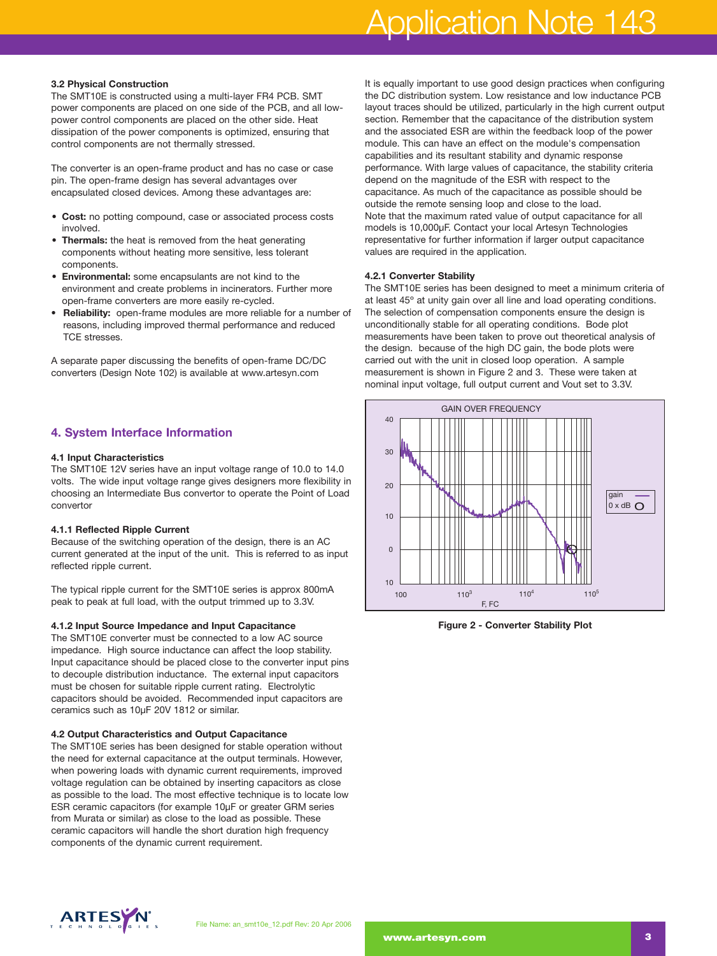# Application Note 143

#### **3.2 Physical Construction**

The SMT10E is constructed using a multi-layer FR4 PCB. SMT power components are placed on one side of the PCB, and all lowpower control components are placed on the other side. Heat dissipation of the power components is optimized, ensuring that control components are not thermally stressed.

The converter is an open-frame product and has no case or case pin. The open-frame design has several advantages over encapsulated closed devices. Among these advantages are:

- **Cost:** no potting compound, case or associated process costs involved.
- **Thermals:** the heat is removed from the heat generating components without heating more sensitive, less tolerant components.
- **Environmental:** some encapsulants are not kind to the environment and create problems in incinerators. Further more open-frame converters are more easily re-cycled.
- **Reliability:** open-frame modules are more reliable for a number of reasons, including improved thermal performance and reduced TCE stresses.

A separate paper discussing the benefits of open-frame DC/DC converters (Design Note 102) is available at www.artesyn.com

# **4. System Interface Information**

#### **4.1 Input Characteristics**

The SMT10E 12V series have an input voltage range of 10.0 to 14.0 volts. The wide input voltage range gives designers more flexibility in choosing an Intermediate Bus convertor to operate the Point of Load convertor

#### **4.1.1 Reflected Ripple Current**

Because of the switching operation of the design, there is an AC current generated at the input of the unit. This is referred to as input reflected ripple current.

The typical ripple current for the SMT10E series is approx 800mA peak to peak at full load, with the output trimmed up to 3.3V.

#### **4.1.2 Input Source Impedance and Input Capacitance**

The SMT10E converter must be connected to a low AC source impedance. High source inductance can affect the loop stability. Input capacitance should be placed close to the converter input pins to decouple distribution inductance. The external input capacitors must be chosen for suitable ripple current rating. Electrolytic capacitors should be avoided. Recommended input capacitors are ceramics such as 10µF 20V 1812 or similar.

#### **4.2 Output Characteristics and Output Capacitance**

The SMT10E series has been designed for stable operation without the need for external capacitance at the output terminals. However, when powering loads with dynamic current requirements, improved voltage regulation can be obtained by inserting capacitors as close as possible to the load. The most effective technique is to locate low ESR ceramic capacitors (for example 10µF or greater GRM series from Murata or similar) as close to the load as possible. These ceramic capacitors will handle the short duration high frequency components of the dynamic current requirement.

It is equally important to use good design practices when configuring the DC distribution system. Low resistance and low inductance PCB layout traces should be utilized, particularly in the high current output section. Remember that the capacitance of the distribution system and the associated ESR are within the feedback loop of the power module. This can have an effect on the module's compensation capabilities and its resultant stability and dynamic response performance. With large values of capacitance, the stability criteria depend on the magnitude of the ESR with respect to the capacitance. As much of the capacitance as possible should be outside the remote sensing loop and close to the load. Note that the maximum rated value of output capacitance for all models is 10,000µF. Contact your local Artesyn Technologies representative for further information if larger output capacitance values are required in the application.

#### **4.2.1 Converter Stability**

The SMT10E series has been designed to meet a minimum criteria of at least 45º at unity gain over all line and load operating conditions. The selection of compensation components ensure the design is unconditionally stable for all operating conditions. Bode plot measurements have been taken to prove out theoretical analysis of the design. because of the high DC gain, the bode plots were carried out with the unit in closed loop operation. A sample measurement is shown in Figure 2 and 3. These were taken at nominal input voltage, full output current and Vout set to 3.3V.



**Figure 2 - Converter Stability Plot**

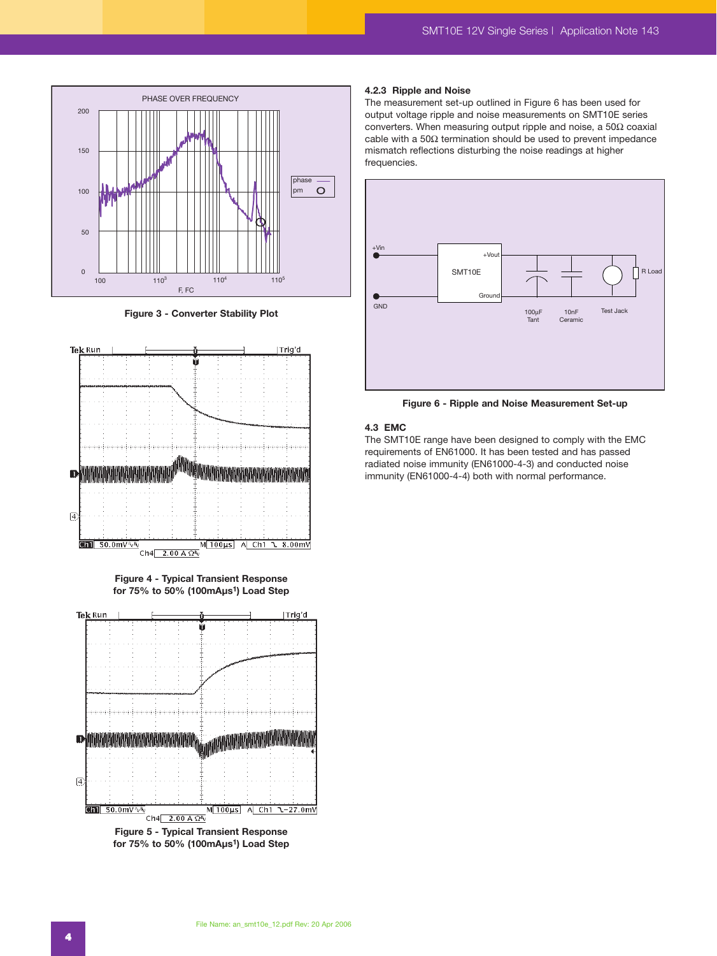

**Figure 3 - Converter Stability Plot**



**Figure 4 - Typical Transient Response for 75% to 50% (100mAµs1) Load Step**



**Figure 5 - Typical Transient Response for 75% to 50% (100mAµs1) Load Step**

#### **4.2.3 Ripple and Noise**

The measurement set-up outlined in Figure 6 has been used for output voltage ripple and noise measurements on SMT10E series converters. When measuring output ripple and noise, a 50Ω coaxial cable with a 50 $\Omega$  termination should be used to prevent impedance mismatch reflections disturbing the noise readings at higher frequencies.



**Figure 6 - Ripple and Noise Measurement Set-up**

#### **4.3 EMC**

The SMT10E range have been designed to comply with the EMC requirements of EN61000. It has been tested and has passed radiated noise immunity (EN61000-4-3) and conducted noise immunity (EN61000-4-4) both with normal performance.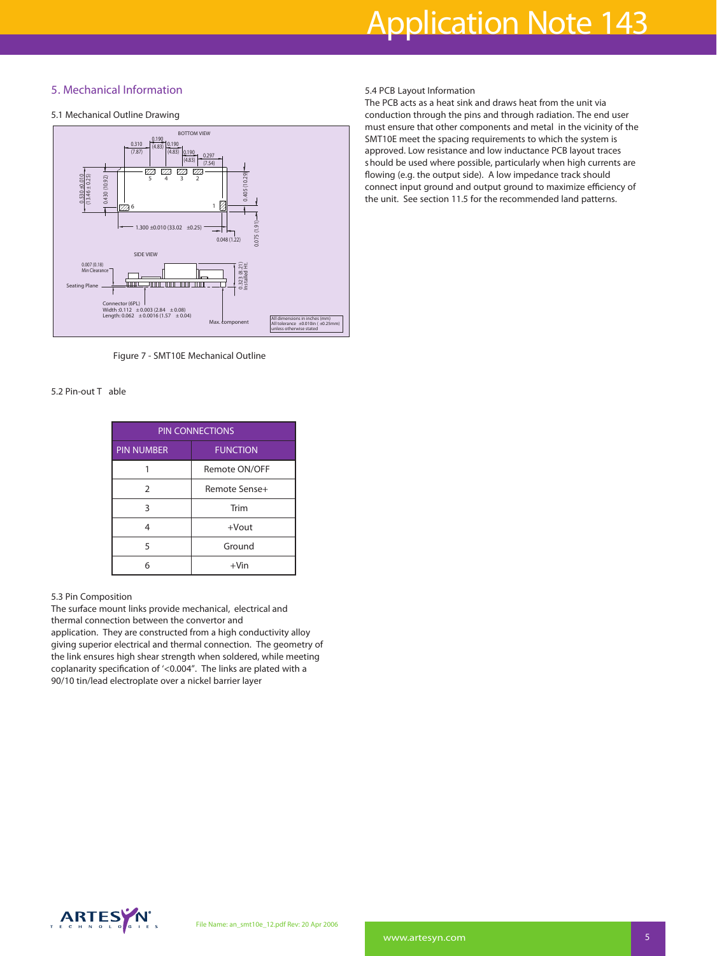# **5. Mechanical Information**

#### **5.1 Mechanical Outline Drawing**



**Figure 7 - SMT10E Mechanical Outline**

#### **5.2 Pin-out T able**

| <b>PIN CONNECTIONS</b> |                 |  |
|------------------------|-----------------|--|
| <b>PIN NUMBER</b>      | <b>FUNCTION</b> |  |
|                        | Remote ON/OFF   |  |
| $\overline{2}$         | Remote Sense+   |  |
| ς                      | Trim            |  |
| Δ                      | $+$ Vout        |  |
| 5                      | Ground          |  |
| 6                      | $+V$ in         |  |

#### **5.3 Pin Composition**

The surface mount links provide mechanical, electrical and thermal connection between the convertor and application. They are constructed from a high conductivity alloy giving superior electrical and thermal connection. The geometry of the link ensures high shear strength when soldered, while meeting coplanarity specification of '<0.004". The links are plated with a 90/10 tin/lead electroplate over a nickel barrier layer

#### **5.4 PCB Layout Information**

The PCB acts as a heat sink and draws heat from the unit via conduction through the pins and through radiation. The end user must ensure that other components and metal in the vicinity of the SMT10E meet the spacing requirements to which the system is approved. Low resistance and low inductance PCB layout traces should be used where possible, particularly when high currents are flowing (e.g. the output side). A low impedance track should connect input ground and output ground to maximize efficiency of the unit. See section 11.5 for the recommended land patterns.

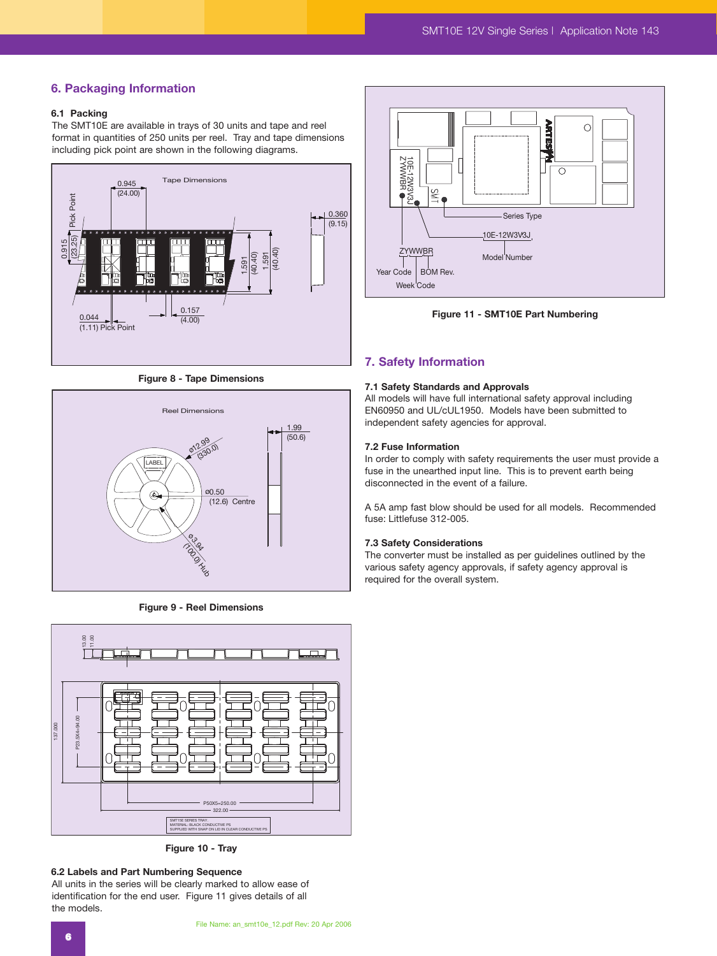# **6. Packaging Information**

## **6.1 Packing**

The SMT10E are available in trays of 30 units and tape and reel format in quantities of 250 units per reel. Tray and tape dimensions including pick point are shown in the following diagrams.



**Figure 8 - Tape Dimensions**



**Figure 9 - Reel Dimensions**



**Figure 10 - Tray**

#### **6.2 Labels and Part Numbering Sequence**

All units in the series will be clearly marked to allow ease of identification for the end user. Figure 11 gives details of all the models.



**Figure 11 - SMT10E Part Numbering**

#### **7. Safety Information**

#### **7.1 Safety Standards and Approvals**

All models will have full international safety approval including EN60950 and UL/cUL1950. Models have been submitted to independent safety agencies for approval.

#### **7.2 Fuse Information**

In order to comply with safety requirements the user must provide a fuse in the unearthed input line. This is to prevent earth being disconnected in the event of a failure.

A 5A amp fast blow should be used for all models. Recommended fuse: Littlefuse 312-005.

#### **7.3 Safety Considerations**

The converter must be installed as per guidelines outlined by the various safety agency approvals, if safety agency approval is required for the overall system.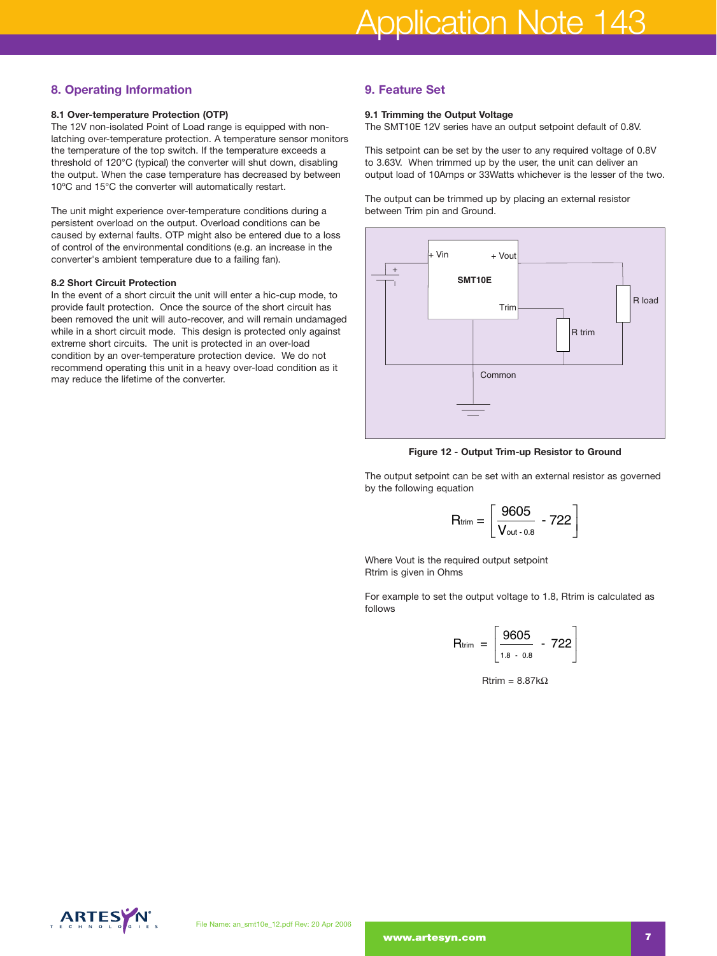# **8. Operating Information**

#### **8.1 Over-temperature Protection (OTP)**

The 12V non-isolated Point of Load range is equipped with nonlatching over-temperature protection. A temperature sensor monitors the temperature of the top switch. If the temperature exceeds a threshold of 120°C (typical) the converter will shut down, disabling the output. When the case temperature has decreased by between 10ºC and 15°C the converter will automatically restart.

The unit might experience over-temperature conditions during a persistent overload on the output. Overload conditions can be caused by external faults. OTP might also be entered due to a loss of control of the environmental conditions (e.g. an increase in the converter's ambient temperature due to a failing fan).

#### **8.2 Short Circuit Protection**

In the event of a short circuit the unit will enter a hic-cup mode, to provide fault protection. Once the source of the short circuit has been removed the unit will auto-recover, and will remain undamaged while in a short circuit mode. This design is protected only against extreme short circuits. The unit is protected in an over-load condition by an over-temperature protection device. We do not recommend operating this unit in a heavy over-load condition as it may reduce the lifetime of the converter.

## **9. Feature Set**

#### **9.1 Trimming the Output Voltage**

The SMT10E 12V series have an output setpoint default of 0.8V.

This setpoint can be set by the user to any required voltage of 0.8V to 3.63V. When trimmed up by the user, the unit can deliver an output load of 10Amps or 33Watts whichever is the lesser of the two.

The output can be trimmed up by placing an external resistor between Trim pin and Ground.



**Figure 12 - Output Trim-up Resistor to Ground**

The output setpoint can be set with an external resistor as governed by the following equation

$$
P = \text{Output Trim-up Resistance}
$$
\n
$$
P = \text{Output Trim-up Resistance}
$$
\n
$$
P = \left[ \frac{9605}{V_{\text{out}} - 0.8} - 722 \right]
$$

Where Vout is the required output setpoint Rtrim is given in Ohms

For example to set the output voltage to 1.8, Rtrim is calculated as follows

quired output setpoint

\nms

\nthe output voltage to 1.8, Rtr

\nRtrim = 
$$
\begin{bmatrix} 9605 \\ \frac{1.8 - 0.8}{1.8 - 0.8} \end{bmatrix}
$$

\nRtrim = 8.87kΩ

Rtrim = 8.87kΩ

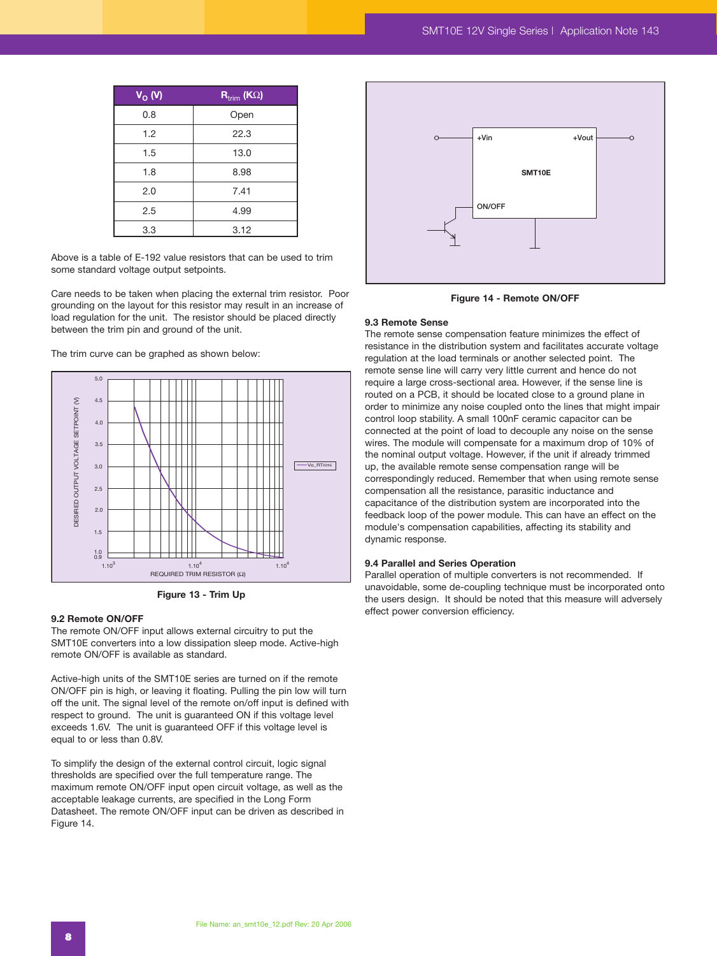| $V_{O}$ (V) | $\overline{\mathbf{R}_{\text{trim}}}$ (K $\Omega$ ) |
|-------------|-----------------------------------------------------|
| 0.8         | Open                                                |
| 1.2         | 22.3                                                |
| 1.5         | 13.0                                                |
| 1.8         | 8.98                                                |
| 2.0         | 7.41                                                |
| 2.5         | 4.99                                                |
| 3.3         | 3.12                                                |

Above is a table of E-192 value resistors that can be used to trim some standard voltage output setpoints.

Care needs to be taken when placing the external trim resistor. Poor grounding on the layout for this resistor may result in an increase of load regulation for the unit. The resistor should be placed directly between the trim pin and ground of the unit.

The trim curve can be graphed as shown below:



**Figure 13 - Trim Up** 

#### **9.2 Remote ON/OFF**

The remote ON/OFF input allows external circuitry to put the SMT10E converters into a low dissipation sleep mode. Active-high remote ON/OFF is available as standard.

Active-high units of the SMT10E series are turned on if the remote ON/OFF pin is high, or leaving it floating. Pulling the pin low will turn off the unit. The signal level of the remote on/off input is defined with respect to ground. The unit is guaranteed ON if this voltage level exceeds 1.6V. The unit is guaranteed OFF if this voltage level is equal to or less than 0.8V.

To simplify the design of the external control circuit, logic signal thresholds are specified over the full temperature range. The maximum remote ON/OFF input open circuit voltage, as well as the acceptable leakage currents, are specified in the Long Form Datasheet. The remote ON/OFF input can be driven as described in Figure 14.



**Figure 14 - Remote ON/OFF**

#### **9.3 Remote Sense**

The remote sense compensation feature minimizes the effect of resistance in the distribution system and facilitates accurate voltage regulation at the load terminals or another selected point. The remote sense line will carry very little current and hence do not require a large cross-sectional area. However, if the sense line is routed on a PCB, it should be located close to a ground plane in order to minimize any noise coupled onto the lines that might impair control loop stability. A small 100nF ceramic capacitor can be connected at the point of load to decouple any noise on the sense wires. The module will compensate for a maximum drop of 10% of the nominal output voltage. However, if the unit if already trimmed up, the available remote sense compensation range will be correspondingly reduced. Remember that when using remote sense compensation all the resistance, parasitic inductance and capacitance of the distribution system are incorporated into the feedback loop of the power module. This can have an effect on the module's compensation capabilities, affecting its stability and dynamic response.

#### **9.4 Parallel and Series Operation**

Parallel operation of multiple converters is not recommended. If unavoidable, some de-coupling technique must be incorporated onto the users design. It should be noted that this measure will adversely effect power conversion efficiency.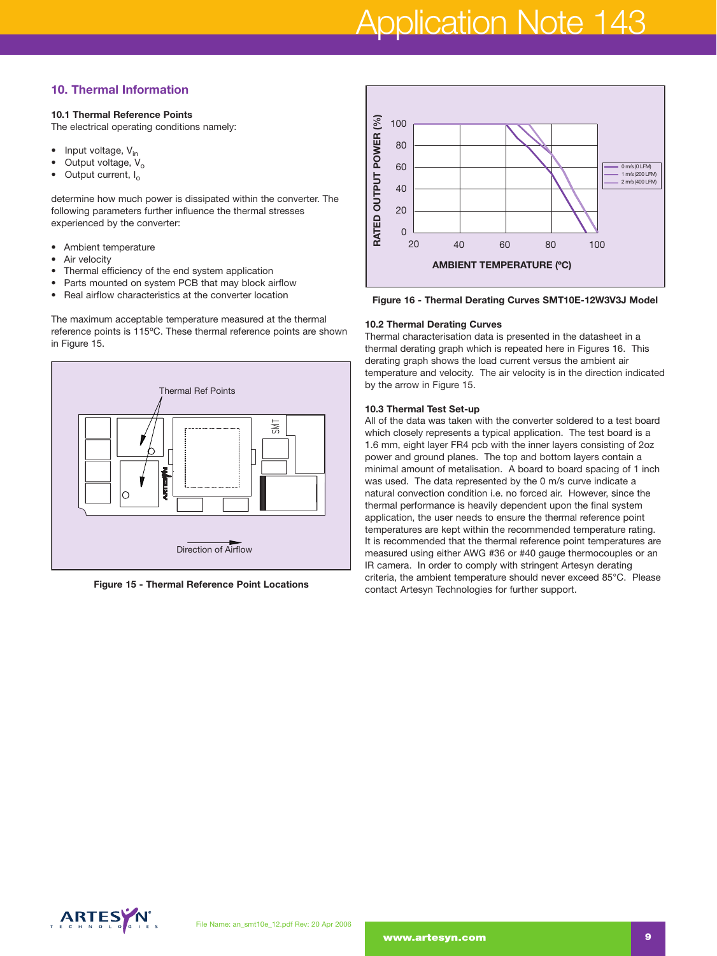# Application Note 143

# **10. Thermal Information**

#### **10.1 Thermal Reference Points**

The electrical operating conditions namely:

- Input voltage,  $V_{in}$
- Output voltage,  $V_o$ <br>• Output current L
- Output current, I<sub>o</sub>

determine how much power is dissipated within the converter. The following parameters further influence the thermal stresses experienced by the converter:

- Ambient temperature
- Air velocity
- Thermal efficiency of the end system application
- Parts mounted on system PCB that may block airflow
- Real airflow characteristics at the converter location

The maximum acceptable temperature measured at the thermal reference points is 115ºC. These thermal reference points are shown in Figure 15.



**Figure 15 - Thermal Reference Point Locations** 



**Figure 16 - Thermal Derating Curves SMT10E-12W3V3J Model**

#### **10.2 Thermal Derating Curves**

Thermal characterisation data is presented in the datasheet in a thermal derating graph which is repeated here in Figures 16. This derating graph shows the load current versus the ambient air temperature and velocity. The air velocity is in the direction indicated by the arrow in Figure 15.

#### **10.3 Thermal Test Set-up**

All of the data was taken with the converter soldered to a test board which closely represents a typical application. The test board is a 1.6 mm, eight layer FR4 pcb with the inner layers consisting of 2oz power and ground planes. The top and bottom layers contain a minimal amount of metalisation. A board to board spacing of 1 inch was used. The data represented by the 0 m/s curve indicate a natural convection condition i.e. no forced air. However, since the thermal performance is heavily dependent upon the final system application, the user needs to ensure the thermal reference point temperatures are kept within the recommended temperature rating. It is recommended that the thermal reference point temperatures are measured using either AWG #36 or #40 gauge thermocouples or an IR camera. In order to comply with stringent Artesyn derating criteria, the ambient temperature should never exceed 85°C. Please contact Artesyn Technologies for further support.

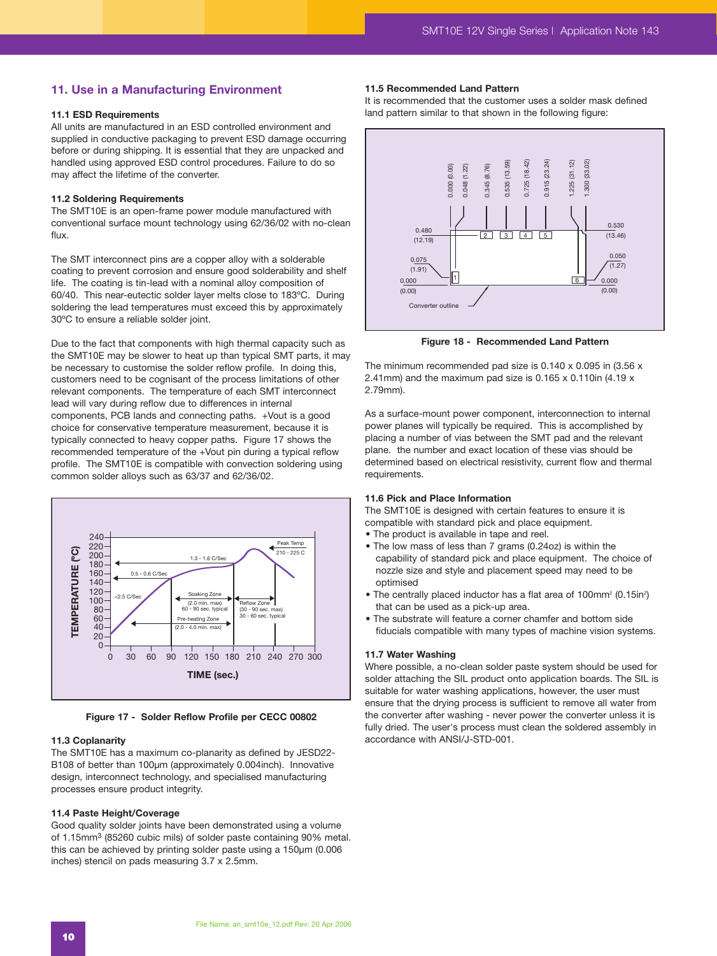#### **11. Use in a Manufacturing Environment**

#### **11.1 ESD Requirements**

All units are manufactured in an ESD controlled environment and supplied in conductive packaging to prevent ESD damage occurring before or during shipping. It is essential that they are unpacked and handled using approved ESD control procedures. Failure to do so may affect the lifetime of the converter.

#### **11.2 Soldering Requirements**

The SMT10E is an open-frame power module manufactured with conventional surface mount technology using 62/36/02 with no-clean flux.

The SMT interconnect pins are a copper alloy with a solderable coating to prevent corrosion and ensure good solderability and shelf life. The coating is tin-lead with a nominal alloy composition of 60/40. This near-eutectic solder layer melts close to 183ºC. During soldering the lead temperatures must exceed this by approximately 30ºC to ensure a reliable solder joint.

Due to the fact that components with high thermal capacity such as the SMT10E may be slower to heat up than typical SMT parts, it may be necessary to customise the solder reflow profile. In doing this, customers need to be cognisant of the process limitations of other relevant components. The temperature of each SMT interconnect lead will vary during reflow due to differences in internal components, PCB lands and connecting paths. +Vout is a good choice for conservative temperature measurement, because it is typically connected to heavy copper paths. Figure 17 shows the recommended temperature of the +Vout pin during a typical reflow profile. The SMT10E is compatible with convection soldering using common solder alloys such as 63/37 and 62/36/02.



**Figure 17 - Solder Reflow Profile per CECC 00802**

#### **11.3 Coplanarity**

The SMT10E has a maximum co-planarity as defined by JESD22- B108 of better than 100um (approximately 0.004inch). Innovative design, interconnect technology, and specialised manufacturing processes ensure product integrity.

#### **11.4 Paste Height/Coverage**

Good quality solder joints have been demonstrated using a volume of 1.15mm3 (85260 cubic mils) of solder paste containing 90% metal. this can be achieved by printing solder paste using a 150µm (0.006 inches) stencil on pads measuring 3.7 x 2.5mm.

#### **11.5 Recommended Land Pattern**

It is recommended that the customer uses a solder mask defined land pattern similar to that shown in the following figure:



**Figure 18 - Recommended Land Pattern**

The minimum recommended pad size is 0.140 x 0.095 in (3.56 x 2.41mm) and the maximum pad size is 0.165 x 0.110in (4.19 x 2.79mm).

As a surface-mount power component, interconnection to internal power planes will typically be required. This is accomplished by placing a number of vias between the SMT pad and the relevant plane. the number and exact location of these vias should be determined based on electrical resistivity, current flow and thermal requirements.

#### **11.6 Pick and Place Information**

The SMT10E is designed with certain features to ensure it is compatible with standard pick and place equipment.

- The product is available in tape and reel.
- The low mass of less than 7 grams (0.24oz) is within the capability of standard pick and place equipment. The choice of nozzle size and style and placement speed may need to be optimised
- The centrally placed inductor has a flat area of 100mm<sup>2</sup> (0.15in<sup>2</sup>) that can be used as a pick-up area.
- The substrate will feature a corner chamfer and bottom side fiducials compatible with many types of machine vision systems.

#### **11.7 Water Washing**

Where possible, a no-clean solder paste system should be used for solder attaching the SIL product onto application boards. The SIL is suitable for water washing applications, however, the user must ensure that the drying process is sufficient to remove all water from the converter after washing - never power the converter unless it is fully dried. The user's process must clean the soldered assembly in accordance with ANSI/J-STD-001.